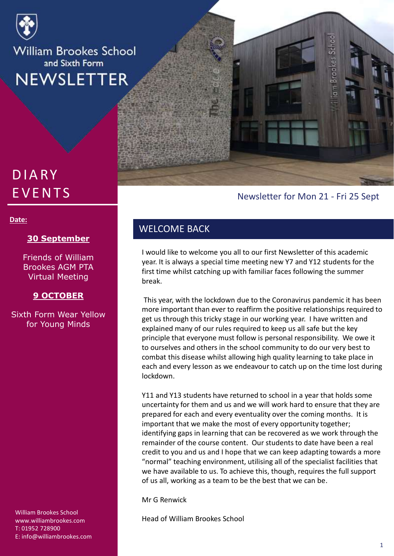

**William Brookes School** and Sixth Form **NEWSLETTER** 

# **DIARY EVENTS**

#### **Date:**

#### **30 September**

Friends of William Brookes AGM PTA Virtual Meeting

#### **9 OCTOBER**

Sixth Form Wear Yellow for Young Minds

William Brookes School www.williambrookes.com T: 01952 728900 E: info@williambrookes.com

## Newsletter for Mon 21 - Fri 25 Sept

**Brookes** Schoo

### WELCOME BACK

I would like to welcome you all to our first Newsletter of this academic year. It is always a special time meeting new Y7 and Y12 students for the first time whilst catching up with familiar faces following the summer break.

This year, with the lockdown due to the Coronavirus pandemic it has been more important than ever to reaffirm the positive relationships required to get us through this tricky stage in our working year. I have written and explained many of our rules required to keep us all safe but the key principle that everyone must follow is personal responsibility. We owe it to ourselves and others in the school community to do our very best to combat this disease whilst allowing high quality learning to take place in each and every lesson as we endeavour to catch up on the time lost during lockdown.

Y11 and Y13 students have returned to school in a year that holds some uncertainty for them and us and we will work hard to ensure that they are prepared for each and every eventuality over the coming months. It is important that we make the most of every opportunity together; identifying gaps in learning that can be recovered as we work through the remainder of the course content. Our students to date have been a real credit to you and us and I hope that we can keep adapting towards a more "normal" teaching environment, utilising all of the specialist facilities that we have available to us. To achieve this, though, requires the full support of us all, working as a team to be the best that we can be.

Mr G Renwick

Head of William Brookes School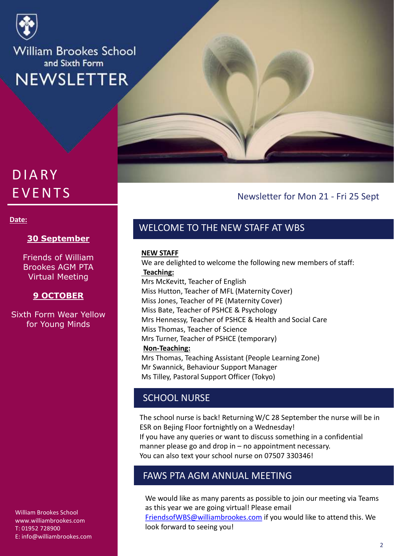

**William Brookes School** and Sixth Form **NEWSLETTER** 

# **DIARY EVENTS**

#### **Date:**

#### **30 September**

Friends of William Brookes AGM PTA Virtual Meeting

#### **9 OCTOBER**

Sixth Form Wear Yellow for Young Minds

William Brookes School www.williambrookes.com T: 01952 728900 E: info@williambrookes.com

### Newsletter for Mon 21 - Fri 25 Sept

## WELCOME TO THE NEW STAFF AT WBS

#### **NEW STAFF**

We are delighted to welcome the following new members of staff: **Teaching:** Mrs McKevitt, Teacher of English Miss Hutton, Teacher of MFL (Maternity Cover) Miss Jones, Teacher of PE (Maternity Cover) Miss Bate, Teacher of PSHCE & Psychology Mrs Hennessy, Teacher of PSHCE & Health and Social Care Miss Thomas, Teacher of Science Mrs Turner, Teacher of PSHCE (temporary) **Non-Teaching:** Mrs Thomas, Teaching Assistant (People Learning Zone)

Mr Swannick, Behaviour Support Manager Ms Tilley, Pastoral Support Officer (Tokyo)

## SCHOOL NURSE

The school nurse is back! Returning W/C 28 September the nurse will be in ESR on Bejing Floor fortnightly on a Wednesday! If you have any queries or want to discuss something in a confidential manner please go and drop in – no appointment necessary. You can also text your school nurse on 07507 330346!

### FAWS PTA AGM ANNUAL MEETING

We would like as many parents as possible to join our meeting via Teams as this year we are going virtual! Please email [FriendsofWBS@williambrookes.com](mailto:FriendsofWBS@williambrookes.com) if you would like to attend this. We look forward to seeing you!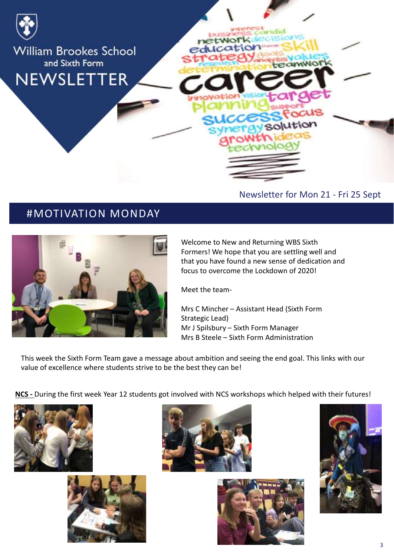

# #MOTIVATION MONDAY



Welcome to New and Returning WBS Sixth Formers! We hope that you are settling well and that you have found a new sense of dedication and focus to overcome the Lockdown of 2020!

Meet the team-

Mrs C Mincher – Assistant Head (Sixth Form Strategic Lead) Mr J Spilsbury – Sixth Form Manager Mrs B Steele – Sixth Form Administration

This week the Sixth Form Team gave a message about ambition and seeing the end goal. This links with our value of excellence where students strive to be the best they can be!

**NCS -** During the first week Year 12 students got involved with NCS workshops which helped with their futures!









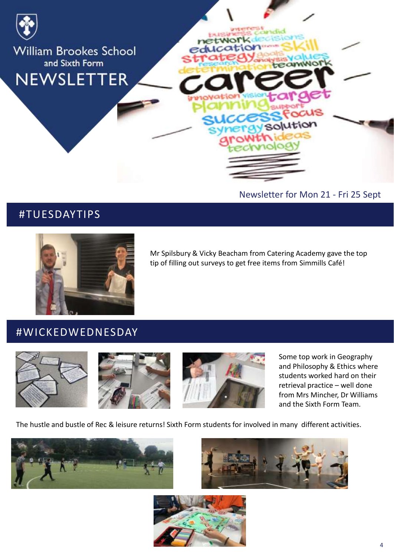

# #TUESDAYTIPS



Mr Spilsbury & Vicky Beacham from Catering Academy gave the top tip of filling out surveys to get free items from Simmills Café!

## #WICKEDWEDNESDAY







Some top work in Geography and Philosophy & Ethics where students worked hard on their retrieval practice – well done from Mrs Mincher, Dr Williams and the Sixth Form Team.

The hustle and bustle of Rec & leisure returns! Sixth Form students for involved in many different activities.





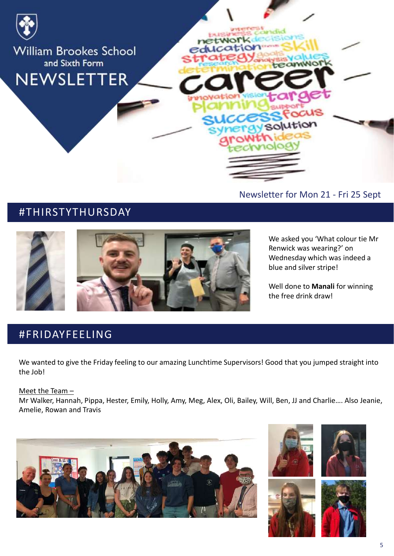

# #THIRSTYTHURSDAY



We asked you 'What colour tie Mr Renwick was wearing?' on Wednesday which was indeed a blue and silver stripe!

Well done to **Manali** for winning the free drink draw!

# #FRIDAYFEELING

We wanted to give the Friday feeling to our amazing Lunchtime Supervisors! Good that you jumped straight into the Job!

#### Meet the Team –

Mr Walker, Hannah, Pippa, Hester, Emily, Holly, Amy, Meg, Alex, Oli, Bailey, Will, Ben, JJ and Charlie…. Also Jeanie, Amelie, Rowan and Travis









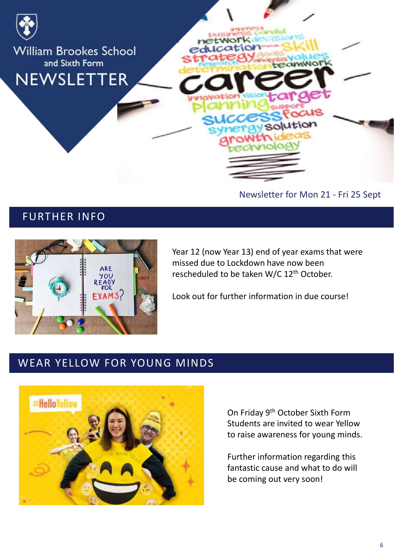

Newsletter for Mon 21 - Fri 25 Sept

# FURTHER INFO



Year 12 (now Year 13) end of year exams that were missed due to Lockdown have now been rescheduled to be taken W/C 12th October.

Look out for further information in due course!

# WEAR YELLOW FOR YOUNG MINDS



On Friday 9th October Sixth Form Students are invited to wear Yellow to raise awareness for young minds.

Further information regarding this fantastic cause and what to do will be coming out very soon!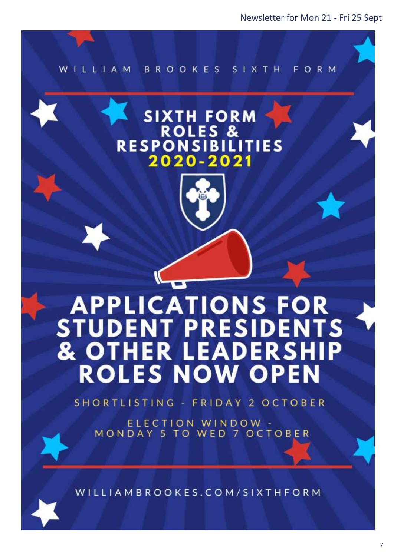

# **SIXTH FORM ROLES & RESPONSIBIL TIES** 2020-2021 **PLICATIONS FOR STUDENT PRESIDENTS ER LEADERSH** & OTH **IP ROLES NOW OPEN**

SHORTLISTING - FRIDAY 2 OCTOBER

ELECTION WINDOW -MONDAY 5 TO WED 7 OCTOBER

WILLIAMBROOKES.COM/SIXTHFORM

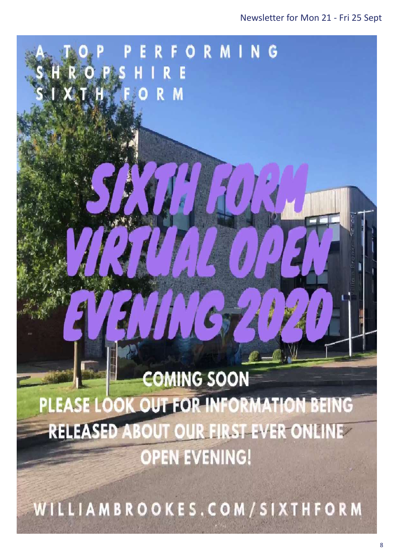# 78 **COMING SOON** PLEASE LOOK OUT FOR INFORMATION BEING **RELEASED ABOUT OUR FIRST EVER ONLINE OPEN EVENING!**

RIGPS HIRE

ORMING

 $\alpha$  and  $\alpha$  in for the newsletters sent in for the newsletters sent in for the newsletters sent in for the newsletters in  $\alpha$ 

WILLIAMBROOKES.COM/SIXTHFORM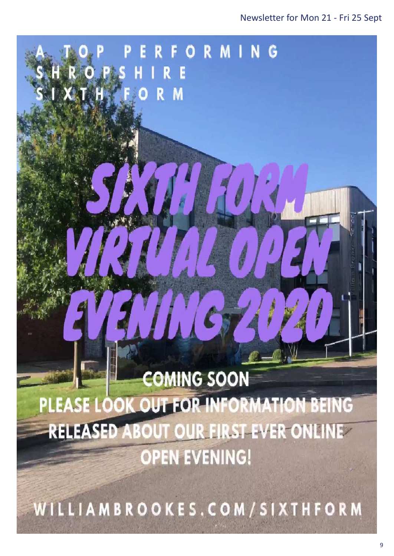# **COMING SOON** PLEASE LOOK OUT FOR INFORMATION BEING **RELEASED ABOUT OUR FIRST EVER ONLINE OPEN EVENING!**

78

RIGPS HIRE

ORMING

 $\alpha$  and  $\alpha$  in for the newsletters sent in for the newsletters sent in for the newsletters sent in for the newsletters in  $\alpha$ 

WILLIAMBROOKES.COM/SIXTHFORM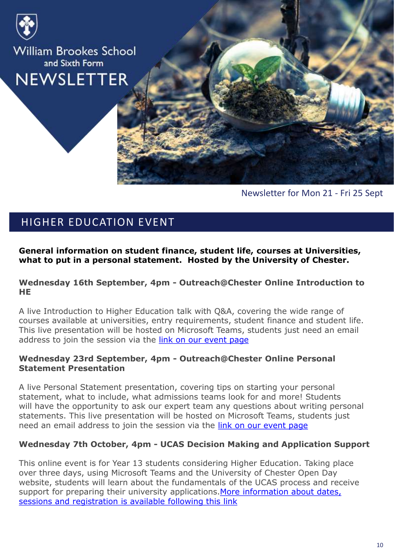

**William Brookes School** and Sixth Form **NEWSLETTER** 



Newsletter for Mon 21 - Fri 25 Sept

# HIGHER EDUCATION EVENT

**General information on student finance, student life, courses at Universities, what to put in a personal statement. Hosted by the University of Chester.** 

#### **Wednesday 16th September, 4pm - Outreach@Chester Online Introduction to HE**

A live Introduction to Higher Education talk with Q&A, covering the wide range of courses available at universities, entry requirements, student finance and student life. This live presentation will be hosted on Microsoft Teams, students just need an email address to join the session via the [link on our event page](https://sendy.chester.ac.uk/l/97638w2BNQLTlQOIPknvoLbA/vKWLbtSxaLTrvtIxOJZYzg/xoZ5Zr5rGlPGACOSTKCOzA)

#### **Wednesday 23rd September, 4pm - Outreach@Chester Online Personal Statement Presentation**

A live Personal Statement presentation, covering tips on starting your personal statement, what to include, what admissions teams look for and more! Students will have the opportunity to ask our expert team any questions about writing personal statements. This live presentation will be hosted on Microsoft Teams, students just need an email address to join the session via the [link on our event page](https://sendy.chester.ac.uk/l/97638w2BNQLTlQOIPknvoLbA/ZfRZxpF3Rtt0dS2SzfZfTw/xoZ5Zr5rGlPGACOSTKCOzA)

### **Wednesday 7th October, 4pm - UCAS Decision Making and Application Support**

This online event is for Year 13 students considering Higher Education. Taking place over three days, using Microsoft Teams and the University of Chester Open Day website, students will learn about the fundamentals of the UCAS process and receive support for preparing their university applications. More information about dates, sessions and registration is available following this link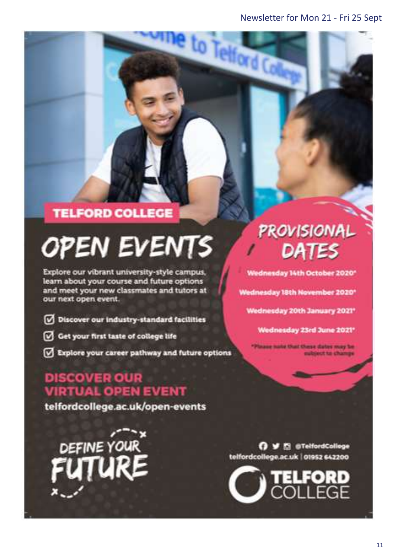to Telford C

# **TELFORD COLLEGE**

# **OPEN EVENTS**

Explore our vibrant university-style campus, learn about your course and future options and meet your new classmates and tutors at our next open event.

- Discover our industry-standard facilities
- Get your first taste of college life
- Explore your career pathway and future options

# **DISCOVER OUR VIRTUAL OPEN EVENT**

telfordcollege.ac.uk/open-events

DEFINE YOUR

# PROVISIONAL DATES

Wednesday 14th October 2020\*

Wednesday 18th November 2020\*

Wednesday 20th January 2021\*

Wednesday 23rd June 2021\*

aug nate that these dates may be ubject to change

O V El @TelfordCollege telfordcollege.ac.uk | 01952 642200

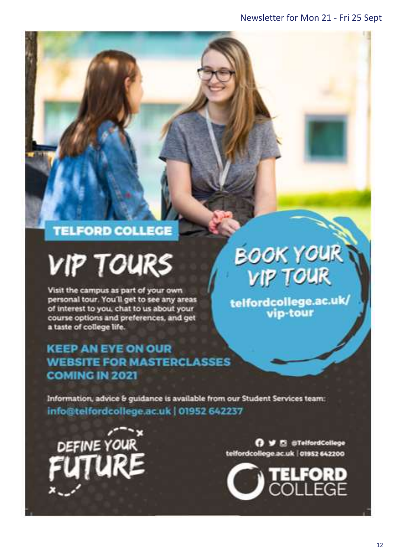# **TELFORD COLLEGE**

# **VIP TOURS**

Visit the campus as part of your own personal tour. You'll get to see any areas of interest to you, chat to us about your course options and preferences, and get a taste of college life.

# **KEEP AN EYE ON OUR WEBSITE FOR MASTERCLASSES COMING IN 2021**

**BOOK YOUR VIP TOUR** 

/telfordcollege.ac.uk<br>vip-tour

Information, advice & guidance is available from our Student Services team: info@telfordcollege.ac.uk | 01952 642237



O V E @TelfordCollege telfordcollege.ac.uk | 01952 642200

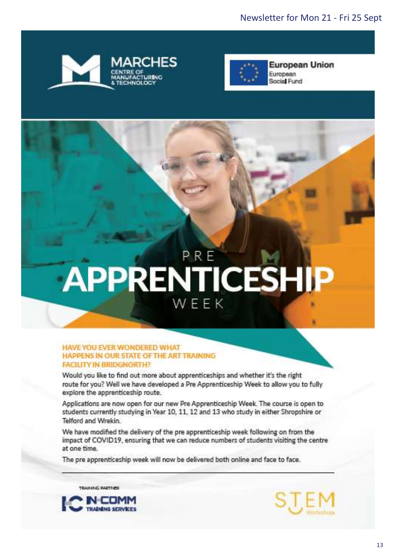



# APPRENTICESHIP WEEK

#### HAVE YOU EVER WONDERED WHAT HAPPENS IN OUR STATE OF THE ART TRAINING **FACILITY IN BRIDGNORTH?**

Would you like to find out more about apprenticeships and whether it's the right route for you? Well we have developed a Pre Apprenticeship Week to allow you to fully explore the apprenticeship route.

Applications are now open for our new Pre Apprenticeship Week. The course is open to students currently studying in Year 10, 11, 12 and 13 who study in either Shropshire or Telford and Wrekin.

We have modified the delivery of the pre apprenticeship week following on from the impact of COVID19, ensuring that we can reduce numbers of students visiting the centre at one time.

The pre apprenticeship week will now be delivered both online and face to face.

TRAINING PARTNER



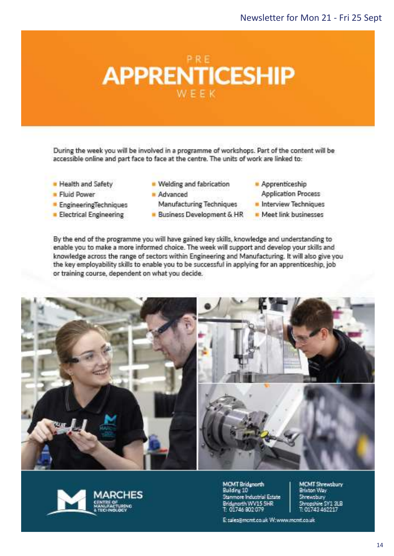

During the week you will be involved in a programme of workshops. Part of the content will be accessible online and part face to face at the centre. The units of work are linked to:

- Health and Safety
- **Fluid Power**
- EngineeringTechniques
- **Electrical Engineering**
- Welding and fabrication
- Advanced Manufacturing Techniques
- Business Development & HR
- Apprenticeship
	- **Application Process**
- Interview Techniques
- Meet link businesses

By the end of the programme you will have gained key skills, knowledge and understanding to enable you to make a more informed choice. The week will support and develop your skills and knowledge across the range of sectors within Engineering and Manufacturing. It will also give you the key employability skills to enable you to be successful in applying for an apprenticeship, job or training course, dependent on what you decide.





**MCMT Bridgeorth** Building 10 Stanmore Industrial Estate Bridanorth WV15 5HR T: 01746 802 079

MCMT Shrewsbury<br>Brixton Way Shrewsbury<br>Shropshire SY1 3LB<br>T: 01743 462217

E sales@mcmt.co.uk W:www.mcmt.co.uk